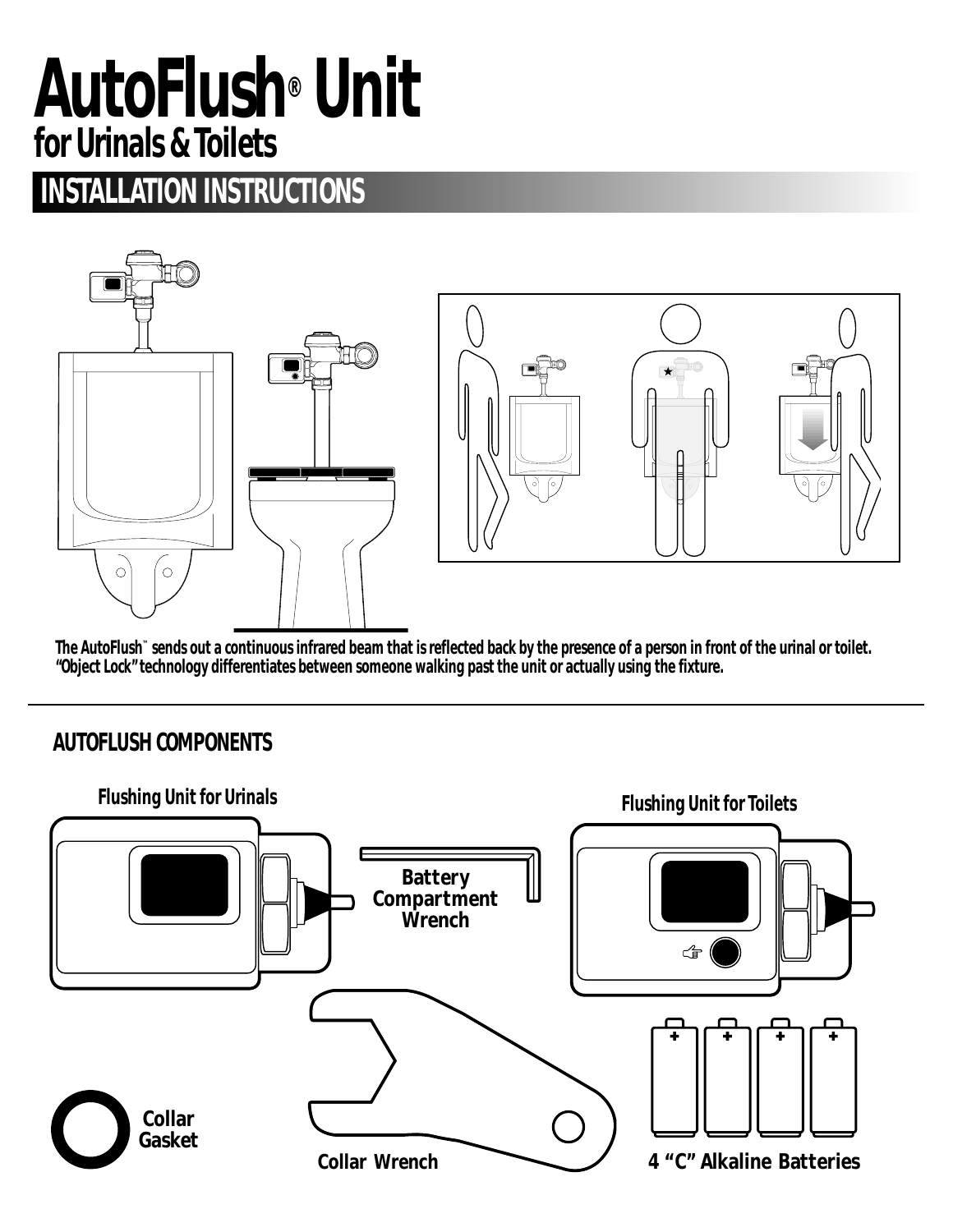# **AutoFlush® Unit for Urinals & Toilets**

# **INSTALLATION INSTRUCTIONS**





**The AutoFlush™ sends out a continuous infrared beam that is reflected back by the presence of a person in front of the urinal or toilet. "Object Lock" technology differentiates between someone walking past the unit or actually using the fixture.**

### **AUTOFLUSH COMPONENTS**

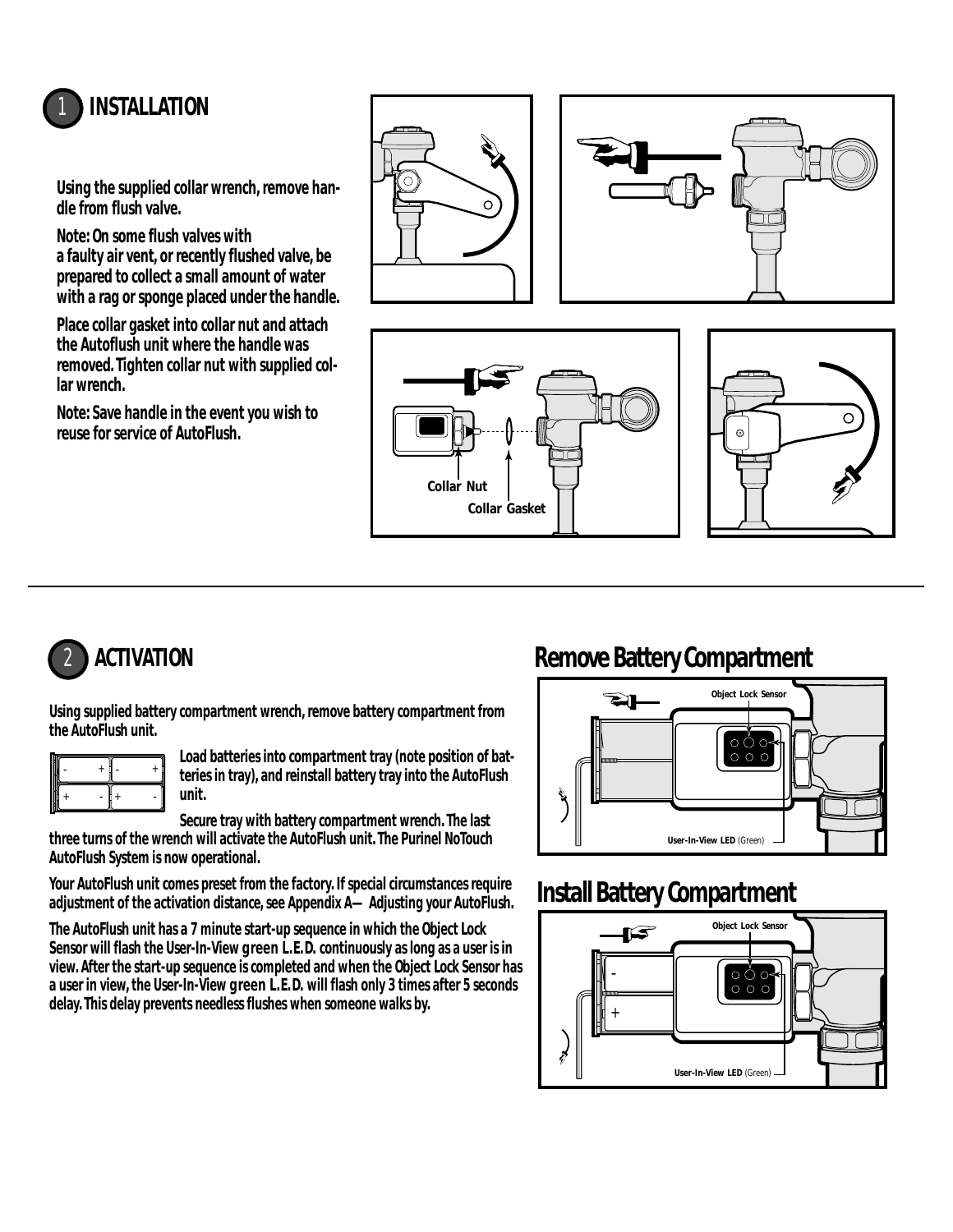

**Using the supplied collar wrench, remove handle from flush valve.**

**Note: On some flush valves with a faulty air vent, or recently flushed valve, be prepared to collect a small amount of water with a rag or sponge placed under the handle.**

**Place collar gasket into collar nut and attach the Autoflush unit where the handle was removed. Tighten collar nut with supplied collar wrench.**

**Note: Save handle in the event you wish to reuse for service of AutoFlush.**







**Using supplied battery compartment wrench, remove battery compartment from the AutoFlush unit.**

|       | + | п |
|-------|---|---|
| ۰<br> | ۰ |   |

**Load batteries into compartment tray (note position of batteries in tray), and reinstall battery tray into the AutoFlush unit.**

**Secure tray with battery compartment wrench. The last three turns of the wrench will activate the AutoFlush unit. The Purinel NoTouch AutoFlush System is now operational.**

**Your AutoFlush unit comes preset from the factory. If special circumstances require adjustment of the activation distance, see Appendix A—Adjusting your AutoFlush.**

**The AutoFlush unit has a 7 minute start-up sequence in which the Object Lock Sensor will flash the User-In-View green L.E.D. continuously as long as a user is in view. After the start-up sequence is completed and when the Object Lock Sensor has a user in view, the User-In-View green L.E.D. will flash only 3 times after 5 seconds delay. This delay prevents needless flushes when someone walks by.**

# 2 **ACTIVATION Remove Battery Compartment**



# **Install Battery Compartment**

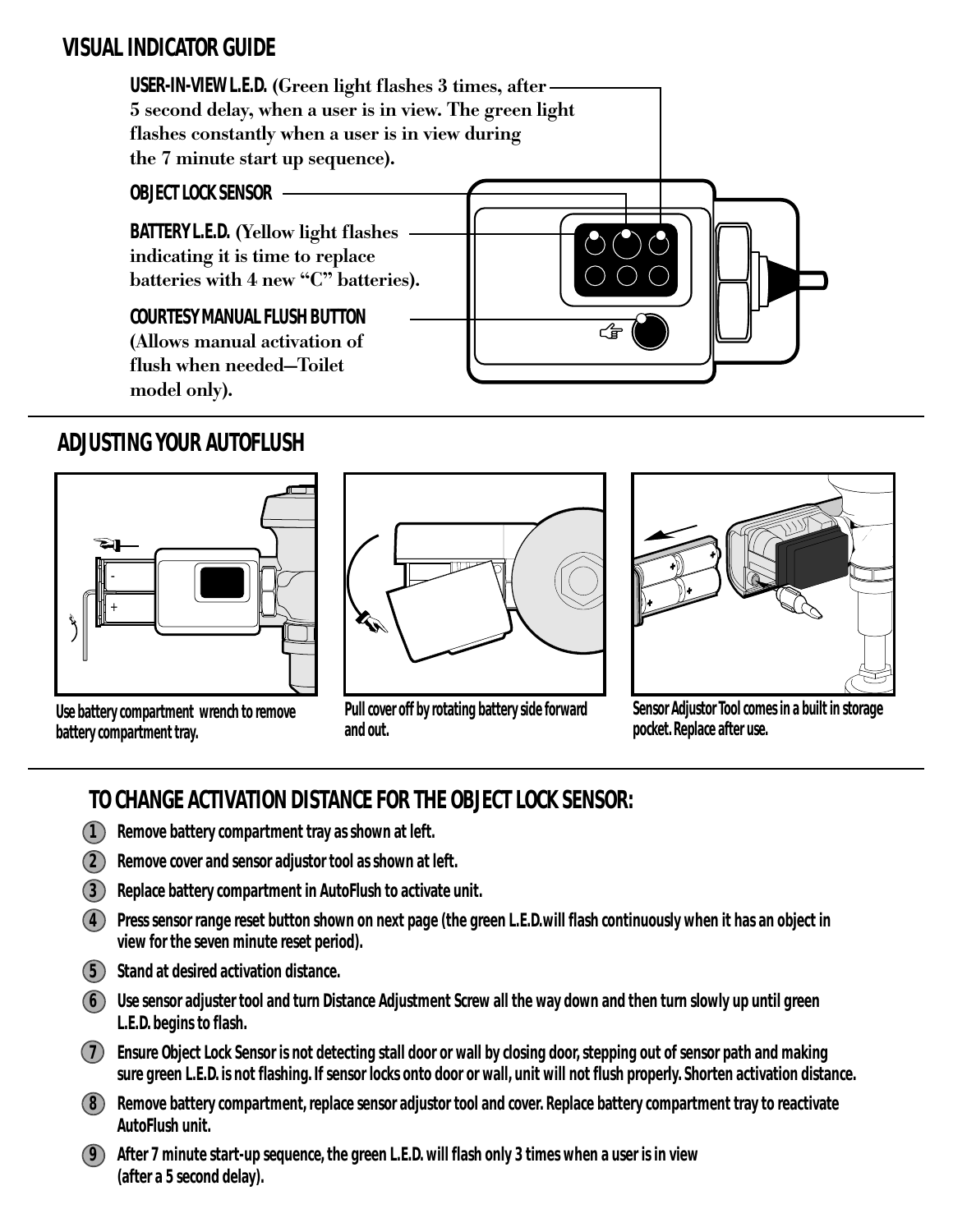#### **VISUAL INDICATOR GUIDE**



#### **ADJUSTING YOUR AUTOFLUSH**



**Use battery compartment wrench to remove battery compartment tray.**



**Pull cover off by rotating battery side forward and out.**



**Sensor Adjustor Tool comes in a built in storage pocket. Replace after use.**

# **TO CHANGE ACTIVATION DISTANCE FOR THE OBJECT LOCK SENSOR:**

- **1 Remove battery compartment tray as shown at left.**
- **2 Remove cover and sensor adjustor tool as shown at left.**
- **3 Replace battery compartment in AutoFlush to activate unit.**
- **4 Press sensor range reset button shown on next page (the green L.E.D.will flash continuously when it has an object in view for the seven minute reset period).**
- **5 Stand at desired activation distance.**
- **6 Use sensor adjuster tool and turn Distance Adjustment Screw all the way down and then turn slowly up until green L.E.D. begins to flash.**
- **7 Ensure Object Lock Sensor is not detecting stall door or wall by closing door, stepping out of sensor path and making sure green L.E.D. is not flashing. If sensor locks onto door or wall, unit will not flush properly. Shorten activation distance.**
- **8 Remove battery compartment, replace sensor adjustor tool and cover. Replace battery compartment tray to reactivate AutoFlush unit.**
- **9 After 7 minute start-up sequence, the green L.E.D. will flash only 3 times when a user is in view (after a 5 second delay).**